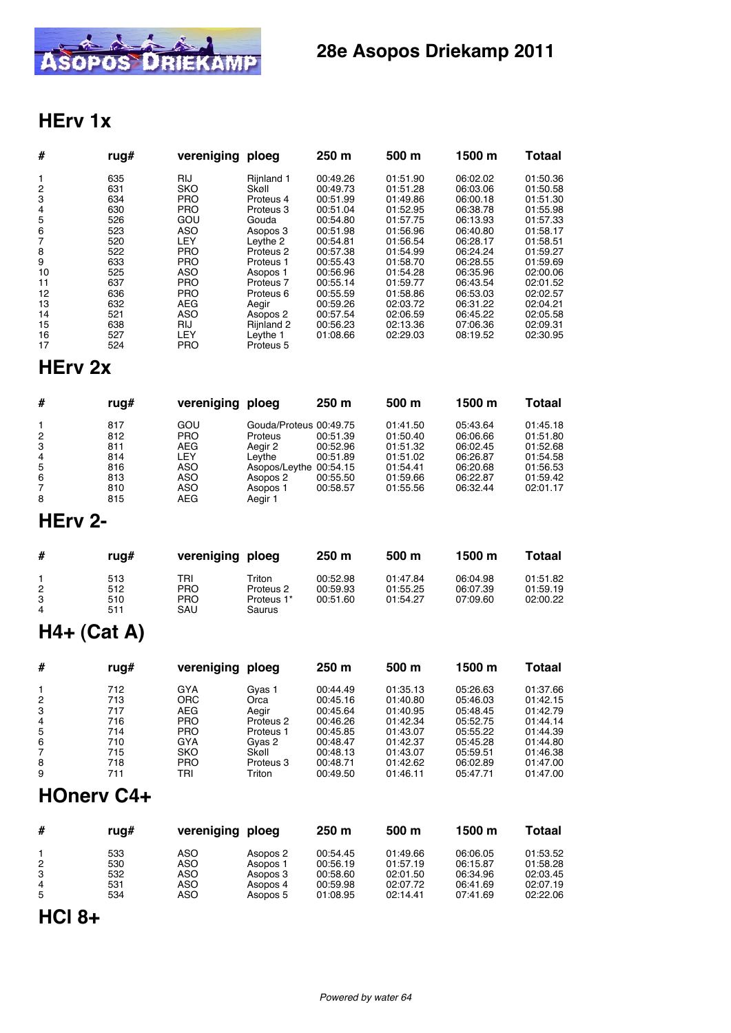

## **28e Asopos Driekamp 2011**

### **HErv 1x**

| #  | rug# | vereniging ploeg |                      | 250 <sub>m</sub> | 500 m    | 1500 m   | <b>Totaal</b> |
|----|------|------------------|----------------------|------------------|----------|----------|---------------|
| 1  | 635  | RIJ              | Rijnland 1           | 00:49.26         | 01:51.90 | 06:02.02 | 01:50.36      |
| 2  | 631  | SKO              | Skøll                | 00:49.73         | 01:51.28 | 06:03.06 | 01:50.58      |
| 3  | 634  | <b>PRO</b>       | Proteus 4            | 00:51.99         | 01:49.86 | 06:00.18 | 01:51.30      |
| 4  | 630  | <b>PRO</b>       | Proteus 3            | 00:51.04         | 01:52.95 | 06:38.78 | 01:55.98      |
| 5  | 526  | GOU              | Gouda                | 00:54.80         | 01:57.75 | 06:13.93 | 01:57.33      |
| 6  | 523  | ASO              | Asopos 3             | 00:51.98         | 01:56.96 | 06:40.80 | 01:58.17      |
| 7  | 520  | LEY              | Leythe 2             | 00:54.81         | 01:56.54 | 06:28.17 | 01:58.51      |
| 8  | 522  | <b>PRO</b>       | Proteus <sub>2</sub> | 00:57.38         | 01:54.99 | 06:24.24 | 01:59.27      |
| 9  | 633  | <b>PRO</b>       | Proteus 1            | 00:55.43         | 01:58.70 | 06:28.55 | 01:59.69      |
| 10 | 525  | ASO              | Asopos 1             | 00:56.96         | 01:54.28 | 06:35.96 | 02:00.06      |
| 11 | 637  | <b>PRO</b>       | Proteus <sub>7</sub> | 00:55.14         | 01:59.77 | 06:43.54 | 02:01.52      |
| 12 | 636  | <b>PRO</b>       | Proteus 6            | 00:55.59         | 01:58.86 | 06:53.03 | 02:02.57      |
| 13 | 632  | <b>AEG</b>       | Aegir                | 00:59.26         | 02:03.72 | 06:31.22 | 02:04.21      |
| 14 | 521  | <b>ASO</b>       | Asopos 2             | 00:57.54         | 02:06.59 | 06:45.22 | 02:05.58      |
| 15 | 638  | RIJ              | Rijnland 2           | 00:56.23         | 02:13.36 | 07:06.36 | 02:09.31      |
| 16 | 527  | LEY              | Leythe 1             | 01:08.66         | 02:29.03 | 08:19.52 | 02:30.95      |
| 17 | 524  | <b>PRO</b>       | Proteus 5            |                  |          |          |               |

### **HErv 2x**

| #              | rug# | vereniging | ploea                  | 250 <sub>m</sub> | 500 m    | 1500 m   | <b>Totaal</b> |
|----------------|------|------------|------------------------|------------------|----------|----------|---------------|
|                | 817  | GOU        | Gouda/Proteus 00:49.75 |                  | 01:41.50 | 05:43.64 | 01:45.18      |
| $\overline{2}$ | 812  | <b>PRO</b> | Proteus                | 00:51.39         | 01:50.40 | 06:06.66 | 01:51.80      |
| 3              | 811  | AEG        | Aegir 2                | 00:52.96         | 01:51.32 | 06:02.45 | 01:52.68      |
| 4              | 814  | LEY        | Levthe                 | 00:51.89         | 01:51.02 | 06:26.87 | 01:54.58      |
| 5              | 816  | ASO        | Asopos/Leythe 00:54.15 |                  | 01:54.41 | 06:20.68 | 01:56.53      |
| 6              | 813  | ASO        | Asopos 2               | 00:55.50         | 01:59.66 | 06:22.87 | 01:59.42      |
| 7              | 810  | ASO        | Asopos 1               | 00:58.57         | 01:55.56 | 06:32.44 | 02:01.17      |
| 8              | 815  | AEG        | Aegir 1                |                  |          |          |               |

### **HErv 2-**

| #                                     | rua#                     | vereniging ploeg                       |                                             | 250 <sub>m</sub>                 | 500 m                            | 1500 m                           | Totaal                           |
|---------------------------------------|--------------------------|----------------------------------------|---------------------------------------------|----------------------------------|----------------------------------|----------------------------------|----------------------------------|
| $\overline{2}$<br>3<br>$\overline{a}$ | 513<br>512<br>510<br>511 | TRI<br><b>PRO</b><br><b>PRO</b><br>SAU | Triton<br>Proteus 2<br>Proteus 1*<br>Saurus | 00:52.98<br>00:59.93<br>00:51.60 | 01:47.84<br>01:55.25<br>01:54.27 | 06:04.98<br>06:07.39<br>07:09.60 | 01:51.82<br>01:59.19<br>02:00.22 |

# **H4+ (Cat A)**

| #            | rug# | vereniging | ploeg     | 250 <sub>m</sub> | 500 <sub>m</sub> | 1500 m   | Totaal   |
|--------------|------|------------|-----------|------------------|------------------|----------|----------|
| $\mathbf{1}$ | 712  | GYA        | Gvas 1    | 00:44.49         | 01:35.13         | 05:26.63 | 01:37.66 |
| 2            | 713  | ORC.       | Orca      | 00:45.16         | 01:40.80         | 05:46.03 | 01:42.15 |
| 3            | 717  | AEG.       | Aegir     | 00:45.64         | 01:40.95         | 05:48.45 | 01:42.79 |
| 4            | 716  | <b>PRO</b> | Proteus 2 | 00:46.26         | 01:42.34         | 05:52.75 | 01:44.14 |
| 5            | 714  | <b>PRO</b> | Proteus 1 | 00:45.85         | 01:43.07         | 05:55.22 | 01:44.39 |
| 6            | 710  | GYA        | Gvas 2    | 00:48.47         | 01:42.37         | 05:45.28 | 01:44.80 |
| 7            | 715  | SKO        | Skøll     | 00:48.13         | 01:43.07         | 05:59.51 | 01:46.38 |
| 8            | 718  | <b>PRO</b> | Proteus 3 | 00:48.71         | 01:42.62         | 06:02.89 | 01:47.00 |
| 9            | 711  | TRI        | Triton    | 00:49.50         | 01:46.11         | 05:47.71 | 01:47.00 |

### **HOnerv C4+**

| #                        | rua#              | vereniging ploeg         |                                  | 250 <sub>m</sub>                 | 500 <sub>m</sub>                 | 1500 m                                       | Totaal                                       |
|--------------------------|-------------------|--------------------------|----------------------------------|----------------------------------|----------------------------------|----------------------------------------------|----------------------------------------------|
| 2<br>3<br>$\overline{4}$ | 533<br>530<br>532 | ASO<br>ASO<br>ASO<br>ASO | Asopos 2<br>Asopos 1<br>Asopos 3 | 00:54.45<br>00:56.19<br>00:58.60 | 01:49.66<br>01:57.19<br>02:01.50 | 06:06.05<br>06:15.87<br>06:34.96<br>06:41.69 | 01:53.52<br>01:58.28<br>02:03.45<br>02:07.19 |
| 5                        | 531<br>534        | ASO                      | Asopos 4<br>Asopos 5             | 00:59.98<br>01:08.95             | 02:07.72<br>02:14.41             | 07:41.69                                     | 02:22.06                                     |

## **HCl 8+**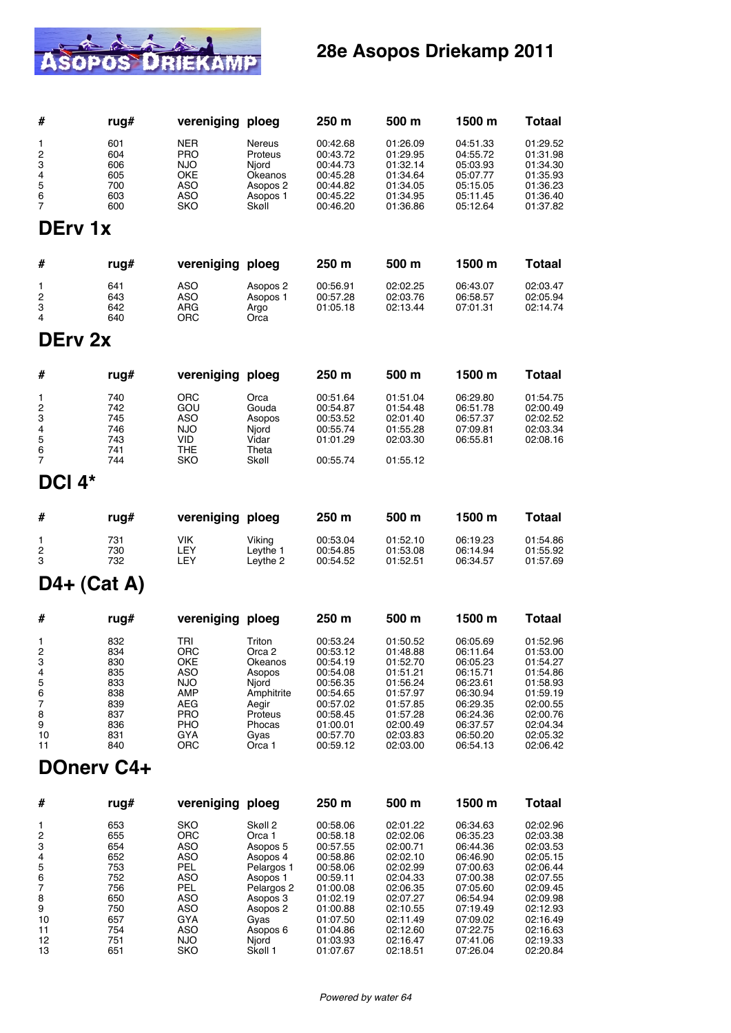

### **28e Asopos Driekamp 2011**

| #                             | rug#                     | vereniging ploeg                                     |                                              | 250 m                                        | 500 m                                        | 1500 m                                       | Totaal                                       |
|-------------------------------|--------------------------|------------------------------------------------------|----------------------------------------------|----------------------------------------------|----------------------------------------------|----------------------------------------------|----------------------------------------------|
| 1<br>$\overline{c}$<br>3<br>4 | 601<br>604<br>606<br>605 | <b>NER</b><br><b>PRO</b><br><b>NJO</b><br><b>OKE</b> | <b>Nereus</b><br>Proteus<br>Niord<br>Okeanos | 00:42.68<br>00:43.72<br>00:44.73<br>00:45.28 | 01:26.09<br>01:29.95<br>01:32.14<br>01:34.64 | 04:51.33<br>04:55.72<br>05:03.93<br>05:07.77 | 01:29.52<br>01:31.98<br>01:34.30<br>01:35.93 |
| 5<br>6<br>7                   | 700<br>603<br>600        | <b>ASO</b><br><b>ASO</b><br><b>SKO</b>               | Asopos 2<br>Asopos 1<br>Skøll                | 00:44.82<br>00:45.22<br>00:46.20             | 01:34.05<br>01:34.95<br>01:36.86             | 05:15.05<br>05:11.45<br>05:12.64             | 01:36.23<br>01:36.40<br>01:37.82             |
| DErv 1x                       |                          |                                                      |                                              |                                              |                                              |                                              |                                              |
| #                             | rug#                     | vereniging ploeg                                     |                                              | 250 m                                        | 500 m                                        | 1500 m                                       | Totaal                                       |
| 1<br>$\overline{c}$<br>3<br>4 | 641<br>643<br>642<br>640 | <b>ASO</b><br><b>ASO</b><br><b>ARG</b><br><b>ORC</b> | Asopos 2<br>Asopos 1<br>Argo<br>Orca         | 00:56.91<br>00:57.28<br>01:05.18             | 02:02.25<br>02:03.76<br>02:13.44             | 06:43.07<br>06:58.57<br>07:01.31             | 02:03.47<br>02:05.94<br>02:14.74             |

#### **DErv 2x**

| #              | rug# | vereniging ploeg |        | 250 <sub>m</sub> | 500 <sub>m</sub> | 1500 m   | Totaal   |
|----------------|------|------------------|--------|------------------|------------------|----------|----------|
| $\mathbf{1}$   | 740  | ORC              | Orca   | 00:51.64         | 01:51.04         | 06:29.80 | 01:54.75 |
| $\overline{2}$ | 742  | GOU              | Gouda  | 00:54.87         | 01:54.48         | 06:51.78 | 02:00.49 |
| 3              | 745  | ASO              | Asopos | 00:53.52         | 02:01.40         | 06:57.37 | 02:02.52 |
| $\overline{4}$ | 746  | <b>NJO</b>       | Niord  | 00:55.74         | 01:55.28         | 07:09.81 | 02:03.34 |
| 5              | 743  | VID              | Vidar  | 01:01.29         | 02:03.30         | 06:55.81 | 02:08.16 |
| 6              | 741  | THE              | Theta  |                  |                  |          |          |
|                | 744  | SKO              | Skøll  | 00:55.74         | 01:55.12         |          |          |

## **DCl 4\***

| #                   | ruq#              | vereniging ploeg          |                                | 250 <sub>m</sub>                 | 500 <sub>m</sub>                 | 1500 m                           | Totaal                           |
|---------------------|-------------------|---------------------------|--------------------------------|----------------------------------|----------------------------------|----------------------------------|----------------------------------|
| $\overline{2}$<br>3 | 731<br>730<br>732 | <b>VIK</b><br>_EY<br>LEY. | Viking<br>Leythe 1<br>Levthe 2 | 00:53.04<br>00:54.85<br>00:54.52 | 01:52.10<br>01:53.08<br>01:52.51 | 06:19.23<br>06:14.94<br>06:34.57 | 01:54.86<br>01:55.92<br>01:57.69 |

### **D4+ (Cat A)**

| #              | rug# | vereniging | ploeg      | 250 <sub>m</sub> | 500 m    | 1500 m   | Totaal   |
|----------------|------|------------|------------|------------------|----------|----------|----------|
|                | 832  | TRI        | Triton     | 00:53.24         | 01:50.52 | 06:05.69 | 01:52.96 |
| $\overline{2}$ | 834  | <b>ORC</b> | Orca 2     | 00:53.12         | 01:48.88 | 06:11.64 | 01:53.00 |
| 3              | 830  | OKE        | Okeanos    | 00:54.19         | 01:52.70 | 06:05.23 | 01:54.27 |
| 4              | 835  | ASO        | Asopos     | 00:54.08         | 01:51.21 | 06:15.71 | 01:54.86 |
| 5              | 833  | <b>NJO</b> | Niord      | 00:56.35         | 01:56.24 | 06:23.61 | 01:58.93 |
| 6              | 838  | <b>AMP</b> | Amphitrite | 00:54.65         | 01:57.97 | 06:30.94 | 01:59.19 |
|                | 839  | AEG        | Aegir      | 00:57.02         | 01:57.85 | 06:29.35 | 02:00.55 |
| 8              | 837  | <b>PRO</b> | Proteus    | 00:58.45         | 01:57.28 | 06:24.36 | 02:00.76 |
| 9              | 836  | <b>PHO</b> | Phocas     | 01:00.01         | 02:00.49 | 06:37.57 | 02:04.34 |
| 10             | 831  | GYA        | Gvas       | 00:57.70         | 02:03.83 | 06:50.20 | 02:05.32 |
| 11             | 840  | ORC        | Orca 1     | 00:59.12         | 02:03.00 | 06:54.13 | 02:06.42 |

#### **DOnerv C4+**

| #              | rug# | vereniging ploeg |            | 250 <sub>m</sub> | 500 m    | 1500 m   | <b>Totaal</b> |
|----------------|------|------------------|------------|------------------|----------|----------|---------------|
|                | 653  | SKO              | Skøll 2    | 00:58.06         | 02:01.22 | 06:34.63 | 02:02.96      |
| $\overline{2}$ | 655  | <b>ORC</b>       | Orca 1     | 00:58.18         | 02:02.06 | 06:35.23 | 02:03.38      |
| 3              | 654  | ASO              | Asopos 5   | 00:57.55         | 02:00.71 | 06:44.36 | 02:03.53      |
| 4              | 652  | ASO              | Asopos 4   | 00:58.86         | 02:02.10 | 06:46.90 | 02:05.15      |
| 5              | 753  | PEL              | Pelargos 1 | 00:58.06         | 02:02.99 | 07:00.63 | 02:06.44      |
| 6              | 752  | ASO              | Asopos 1   | 00:59.11         | 02:04.33 | 07:00.38 | 02:07.55      |
| 7              | 756  | <b>PEL</b>       | Pelargos 2 | 01:00.08         | 02:06.35 | 07:05.60 | 02:09.45      |
| 8              | 650  | ASO              | Asopos 3   | 01:02.19         | 02:07.27 | 06:54.94 | 02:09.98      |
| 9              | 750  | ASO              | Asopos 2   | 01:00.88         | 02:10.55 | 07:19.49 | 02:12.93      |
| 10             | 657  | GYA              | Gyas       | 01:07.50         | 02:11.49 | 07:09.02 | 02:16.49      |
| 11             | 754  | ASO              | Asopos 6   | 01:04.86         | 02:12.60 | 07:22.75 | 02:16.63      |
| 12             | 751  | <b>NJO</b>       | Njord      | 01:03.93         | 02:16.47 | 07:41.06 | 02:19.33      |
| 13             | 651  | SKO              | Skøll 1    | 01:07.67         | 02:18.51 | 07:26.04 | 02:20.84      |